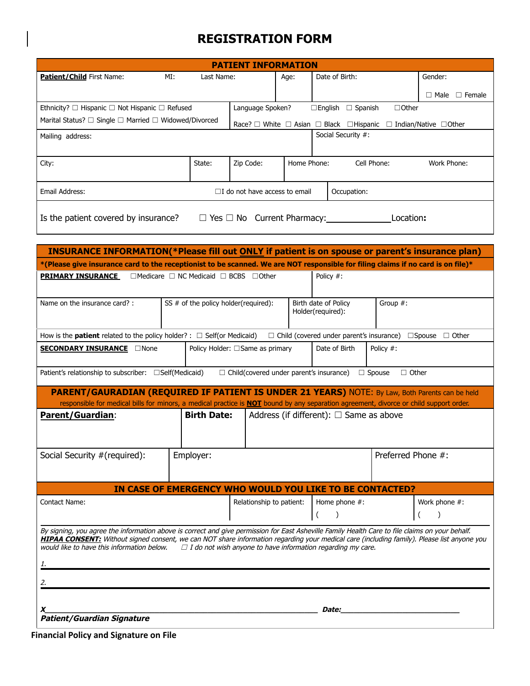## **REGISTRATION FORM**

| <b>PATIENT INFORMATION</b>                                                                     |                                                                         |           |                                                                                                   |                    |             |                              |  |  |  |
|------------------------------------------------------------------------------------------------|-------------------------------------------------------------------------|-----------|---------------------------------------------------------------------------------------------------|--------------------|-------------|------------------------------|--|--|--|
| MI:<br><b>Patient/Child First Name:</b>                                                        | Last Name:                                                              |           | Age:                                                                                              | Date of Birth:     |             | Gender:                      |  |  |  |
|                                                                                                |                                                                         |           |                                                                                                   |                    |             | $\Box$ Female<br>$\Box$ Male |  |  |  |
| Ethnicity? $\Box$ Hispanic $\Box$ Not Hispanic $\Box$ Refused                                  | $\Box$ Spanish<br>$\Box$ Other<br>Language Spoken?<br>$\square$ English |           |                                                                                                   |                    |             |                              |  |  |  |
| Marital Status? □ Single □ Married □ Widowed/Divorced                                          |                                                                         |           | Race? $\Box$ White $\Box$ Asian $\Box$ Black $\Box$ Hispanic<br>$\Box$ Indian/Native $\Box$ Other |                    |             |                              |  |  |  |
| Mailing address:                                                                               |                                                                         |           |                                                                                                   | Social Security #: |             |                              |  |  |  |
|                                                                                                |                                                                         |           |                                                                                                   |                    |             |                              |  |  |  |
| City:                                                                                          | State:                                                                  | Zip Code: | Home Phone:                                                                                       |                    | Cell Phone: | Work Phone:                  |  |  |  |
|                                                                                                |                                                                         |           |                                                                                                   |                    |             |                              |  |  |  |
| Email Address:                                                                                 | $\Box$ I do not have access to email                                    |           |                                                                                                   |                    | Occupation: |                              |  |  |  |
| Is the patient covered by insurance? $\square$ Yes $\square$ No Current Pharmacy:<br>Location: |                                                                         |           |                                                                                                   |                    |             |                              |  |  |  |

| *(Please give insurance card to the receptionist to be scanned. We are NOT responsible for filing claims if no card is on file)*<br>$\Box$ Medicare $\Box$ NC Medicaid $\Box$ BCBS $\Box$ Other<br><b>PRIMARY INSURANCE</b>                                                                                                                 |                                      |                                           |                                                                    |                    |  |  |  |  |
|---------------------------------------------------------------------------------------------------------------------------------------------------------------------------------------------------------------------------------------------------------------------------------------------------------------------------------------------|--------------------------------------|-------------------------------------------|--------------------------------------------------------------------|--------------------|--|--|--|--|
|                                                                                                                                                                                                                                                                                                                                             |                                      |                                           |                                                                    |                    |  |  |  |  |
|                                                                                                                                                                                                                                                                                                                                             |                                      |                                           | Policy #:                                                          |                    |  |  |  |  |
| Name on the insurance card? :                                                                                                                                                                                                                                                                                                               | SS # of the policy holder(required): | Birth date of Policy<br>Holder(required): |                                                                    | Group $#$ :        |  |  |  |  |
| How is the <b>patient</b> related to the policy holder? : $\Box$ Self(or Medicaid)<br>$\Box$ Child (covered under parent's insurance) $\Box$ Spouse $\Box$ Other                                                                                                                                                                            |                                      |                                           |                                                                    |                    |  |  |  |  |
| <b>SECONDARY INSURANCE</b> None                                                                                                                                                                                                                                                                                                             | Policy Holder: □ Same as primary     |                                           | Date of Birth                                                      | Policy #:          |  |  |  |  |
| Patient's relationship to subscriber: □ Self(Medicaid)<br>$\Box$ Child(covered under parent's insurance) $\Box$ Spouse<br>$\Box$ Other                                                                                                                                                                                                      |                                      |                                           |                                                                    |                    |  |  |  |  |
| <b>PARENT/GAURADIAN (REQUIRED IF PATIENT IS UNDER 21 YEARS) NOTE:</b> By Law, Both Parents can be held<br>responsible for medical bills for minors, a medical practice is <b>NOT</b> bound by any separation agreement, divorce or child support order.                                                                                     |                                      |                                           |                                                                    |                    |  |  |  |  |
| <b>Parent/Guardian:</b>                                                                                                                                                                                                                                                                                                                     | <b>Birth Date:</b>                   |                                           | Address (if different): $\Box$ Same as above                       |                    |  |  |  |  |
| Social Security #(required):                                                                                                                                                                                                                                                                                                                | Employer:                            |                                           |                                                                    | Preferred Phone #: |  |  |  |  |
| IN CASE OF EMERGENCY WHO WOULD YOU LIKE TO BE CONTACTED?                                                                                                                                                                                                                                                                                    |                                      |                                           |                                                                    |                    |  |  |  |  |
| <b>Contact Name:</b>                                                                                                                                                                                                                                                                                                                        |                                      | Relationship to patient:                  | Home phone #:<br>$\overline{(\ }$                                  | Work phone #:      |  |  |  |  |
| By signing, you agree the information above is correct and give permission for East Asheville Family Health Care to file claims on your behalf.<br>HIPAA CONSENT: Without signed consent, we can NOT share information regarding your medical care (including family). Please list anyone you<br>would like to have this information below. |                                      |                                           | $\Box$ I do not wish anyone to have information regarding my care. |                    |  |  |  |  |
| <b>Patient/Guardian Signature</b>                                                                                                                                                                                                                                                                                                           |                                      |                                           | <i>Date:</i>                                                       |                    |  |  |  |  |

**Financial Policy and Signature on File**